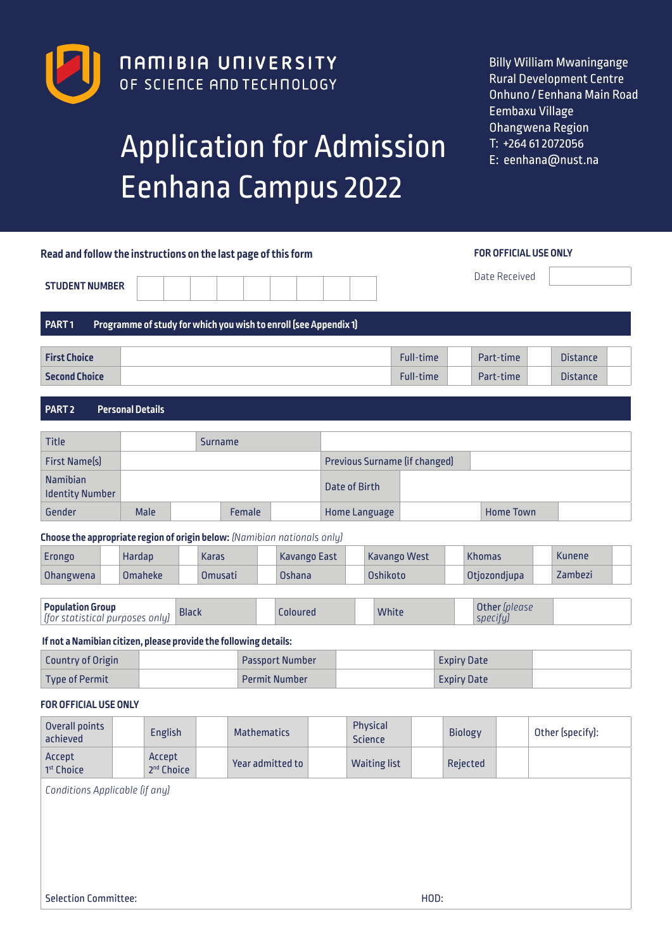

# Application for Admission Eenhana Campus 2022

Billy William Mwaningange Rural Development Centre Onhuno / Eenhana Main Road Eembaxu Village Ohangwena Region T: +264 61 2072056 E: eenhana@nust.na

|                                                                          | <b>FOR OFFICIAL USE ONLY</b><br>Read and follow the instructions on the last page of this form |        |                                  |              |                |                    |  |                                                                  |  |               |                            |                                      |                    |                  |                  |
|--------------------------------------------------------------------------|------------------------------------------------------------------------------------------------|--------|----------------------------------|--------------|----------------|--------------------|--|------------------------------------------------------------------|--|---------------|----------------------------|--------------------------------------|--------------------|------------------|------------------|
|                                                                          | Date Received<br><b>STUDENT NUMBER</b>                                                         |        |                                  |              |                |                    |  |                                                                  |  |               |                            |                                      |                    |                  |                  |
| PART1                                                                    |                                                                                                |        |                                  |              |                |                    |  | Programme of study for which you wish to enroll (see Appendix 1) |  |               |                            |                                      |                    |                  |                  |
| <b>First Choice</b>                                                      |                                                                                                |        |                                  |              |                |                    |  |                                                                  |  |               |                            | <b>Full-time</b>                     |                    | Part-time        | <b>Distance</b>  |
| <b>Second Choice</b><br><b>Full-time</b><br>Part-time<br><b>Distance</b> |                                                                                                |        |                                  |              |                |                    |  |                                                                  |  |               |                            |                                      |                    |                  |                  |
| PART <sub>2</sub>                                                        |                                                                                                |        | <b>Personal Details</b>          |              |                |                    |  |                                                                  |  |               |                            |                                      |                    |                  |                  |
| <b>Title</b>                                                             |                                                                                                |        |                                  |              | <b>Surname</b> |                    |  |                                                                  |  |               |                            |                                      |                    |                  |                  |
| <b>First Name(s)</b>                                                     |                                                                                                |        |                                  |              |                |                    |  |                                                                  |  |               |                            | <b>Previous Surname (if changed)</b> |                    |                  |                  |
| <b>Namibian</b><br><b>Identity Number</b>                                |                                                                                                |        |                                  |              |                |                    |  |                                                                  |  | Date of Birth |                            |                                      |                    |                  |                  |
| Gender                                                                   |                                                                                                |        | Male                             |              |                | Female             |  |                                                                  |  |               | <b>Home Language</b>       |                                      |                    | <b>Home Town</b> |                  |
| Choose the appropriate region of origin below: [Namibian nationals only] |                                                                                                |        |                                  |              |                |                    |  |                                                                  |  |               |                            |                                      |                    |                  |                  |
| Erongo                                                                   |                                                                                                | Hardap |                                  |              | <b>Karas</b>   |                    |  | <b>Kavango East</b>                                              |  |               |                            | <b>Kavango West</b>                  | <b>Khomas</b>      |                  | <b>Kunene</b>    |
| Ohangwena                                                                |                                                                                                |        | <b>Omaheke</b>                   |              | <b>Omusati</b> |                    |  | <b>Oshana</b>                                                    |  |               | Oshikoto                   |                                      | Otjozondjupa       |                  | Zambezi          |
| <b>Population Group</b><br>(for statistical purposes only)               |                                                                                                |        |                                  | <b>Black</b> |                |                    |  | Coloured                                                         |  |               | White                      |                                      | specify)           | Other [please    |                  |
| If not a Namibian citizen, please provide the following details:         |                                                                                                |        |                                  |              |                |                    |  |                                                                  |  |               |                            |                                      |                    |                  |                  |
| <b>Country of Origin</b>                                                 |                                                                                                |        |                                  |              |                |                    |  | <b>Passport Number</b>                                           |  |               |                            |                                      | <b>Expiry Date</b> |                  |                  |
| <b>Type of Permit</b>                                                    |                                                                                                |        |                                  |              |                |                    |  | <b>Permit Number</b>                                             |  |               |                            |                                      | <b>Expiry Date</b> |                  |                  |
| <b>FOR OFFICIAL USE ONLY</b>                                             |                                                                                                |        |                                  |              |                |                    |  |                                                                  |  |               |                            |                                      |                    |                  |                  |
| <b>Overall points</b><br>achieved                                        |                                                                                                |        | <b>English</b>                   |              |                | <b>Mathematics</b> |  |                                                                  |  |               | Physical<br><b>Science</b> |                                      | <b>Biology</b>     |                  | Other (specify): |
| Accept<br>1 <sup>st</sup> Choice                                         |                                                                                                |        | Accept<br>2 <sup>nd</sup> Choice |              |                |                    |  | Year admitted to                                                 |  |               | <b>Waiting list</b>        |                                      | Rejected           |                  |                  |
| Conditions Applicable (if any)                                           |                                                                                                |        |                                  |              |                |                    |  |                                                                  |  |               |                            |                                      |                    |                  |                  |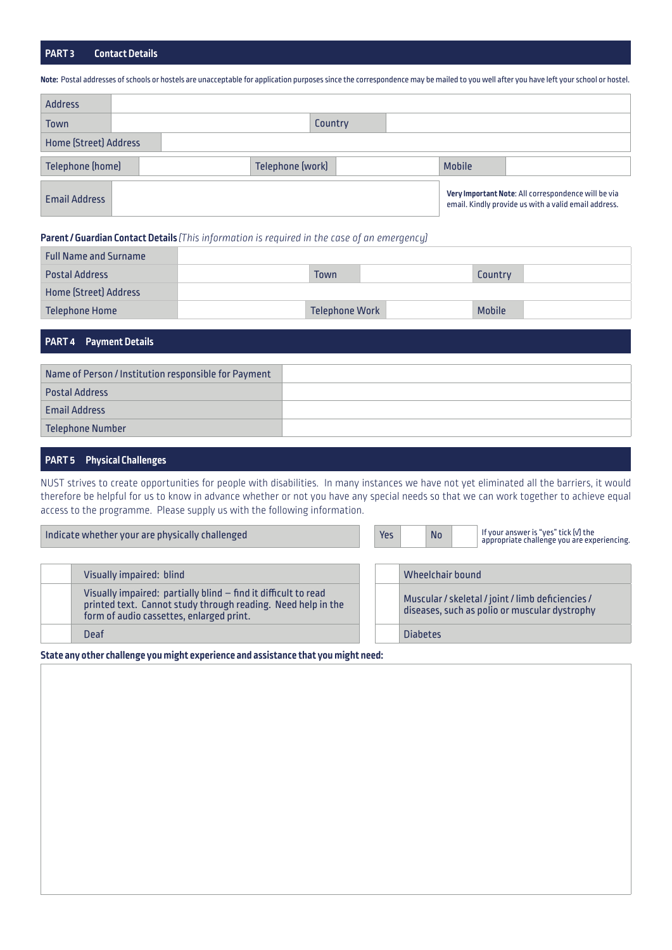#### **PART 3 Contact Details**

**Note:** Postal addresses of schools or hostels are unacceptable for application purposes since the correspondence may be mailed to you well after you have left your school or hostel.

| <b>Address</b>               |  |                  |         |               |                                                                                                             |
|------------------------------|--|------------------|---------|---------------|-------------------------------------------------------------------------------------------------------------|
| Town                         |  |                  | Country |               |                                                                                                             |
| <b>Home [Street] Address</b> |  |                  |         |               |                                                                                                             |
| <b>Telephone (home)</b>      |  | Telephone (work) |         | <b>Mobile</b> |                                                                                                             |
| <b>Email Address</b>         |  |                  |         |               | Very Important Note: All correspondence will be via<br>email. Kindly provide us with a valid email address. |

#### **Parent / Guardian Contact Details** *(This information is required in the case of an emergency)*

| <b>Full Name and Surname</b> |                       |               |  |
|------------------------------|-----------------------|---------------|--|
| <b>Postal Address</b>        | Town                  | Country       |  |
| <b>Home (Street) Address</b> |                       |               |  |
| <b>Telephone Home</b>        | <b>Telephone Work</b> | <b>Mobile</b> |  |

### **PART 4 Payment Details**

| Name of Person / Institution responsible for Payment |  |
|------------------------------------------------------|--|
| <b>Postal Address</b>                                |  |
| <b>Email Address</b>                                 |  |
| Telephone Number                                     |  |

### **PART 5 Physical Challenges**

NUST strives to create opportunities for people with disabilities. In many instances we have not yet eliminated all the barriers, it would therefore be helpful for us to know in advance whether or not you have any special needs so that we can work together to achieve equal access to the programme. Please supply us with the following information.

| Indicate whether your are physically challenged |                                                                                                                                                                            |  |                  | No | If your answer is "yes" tick $[V]$ the<br>appropriate challenge you are experiencing.              |
|-------------------------------------------------|----------------------------------------------------------------------------------------------------------------------------------------------------------------------------|--|------------------|----|----------------------------------------------------------------------------------------------------|
|                                                 | Visually impaired: blind                                                                                                                                                   |  | Wheelchair bound |    |                                                                                                    |
|                                                 | Visually impaired: partially blind - find it difficult to read<br>printed text. Cannot study through reading. Need help in the<br>form of audio cassettes, enlarged print. |  |                  |    | Muscular / skeletal / joint / limb deficiencies /<br>diseases, such as polio or muscular dystrophy |
|                                                 | <b>Deaf</b>                                                                                                                                                                |  | <b>Diabetes</b>  |    |                                                                                                    |

**State any other challenge you might experience and assistance that you might need:**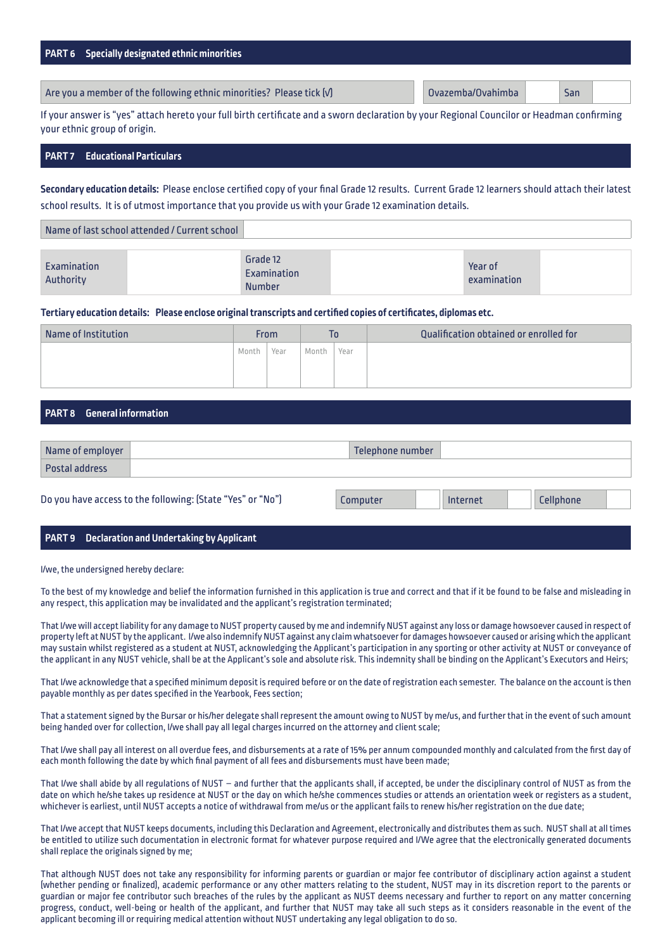#### **PART 6 Specially designated ethnic minorities**

Are you a member of the following ethnic minorities? Please tick [√] Ovazemba/Ovahimba San

If your answer is "yes" attach hereto your full birth certificate and a sworn declaration by your Regional Councilor or Headman confirming your ethnic group of origin.

#### **PART 7 Educational Particulars**

**Secondary education details:** Please enclose certified copy of your final Grade 12 results. Current Grade 12 learners should attach their latest school results. It is of utmost importance that you provide us with your Grade 12 examination details.

Name of last school attended / Current school

#### **Tertiary education details: Please enclose original transcripts and certified copies of certificates, diplomas etc.**

| Name of Institution |       | <b>From</b> |       | ١o   | Qualification obtained or enrolled for |
|---------------------|-------|-------------|-------|------|----------------------------------------|
|                     | Month | Year        | Month | Year |                                        |
|                     |       |             |       |      |                                        |

#### **PART 8 General information**

| Name of employer      | Telephone number |  |
|-----------------------|------------------|--|
| <b>Postal address</b> |                  |  |
|                       |                  |  |

Do you have access to the following: (State "Yes" or "No") Computer Internet Cellphone

#### **PART 9 Declaration and Undertaking by Applicant**

I/we, the undersigned hereby declare:

To the best of my knowledge and belief the information furnished in this application is true and correct and that if it be found to be false and misleading in any respect, this application may be invalidated and the applicant's registration terminated;

That I/we will accept liability for any damage to NUST property caused by me and indemnify NUST against any loss or damage howsoever caused in respect of property left at NUST by the applicant. I/we also indemnify NUST against any claim whatsoever for damages howsoever caused or arising which the applicant may sustain whilst registered as a student at NUST, acknowledging the Applicant's participation in any sporting or other activity at NUST or conveyance of the applicant in any NUST vehicle, shall be at the Applicant's sole and absolute risk. This indemnity shall be binding on the Applicant's Executors and Heirs;

That I/we acknowledge that a specified minimum deposit is required before or on the date of registration each semester. The balance on the account is then payable monthly as per dates specified in the Yearbook, Fees section;

That a statement signed by the Bursar or his/her delegate shall represent the amount owing to NUST by me/us, and further that in the event of such amount being handed over for collection, I/we shall pay all legal charges incurred on the attorney and client scale;

That I/we shall pay all interest on all overdue fees, and disbursements at a rate of 15% per annum compounded monthly and calculated from the first day of each month following the date by which final payment of all fees and disbursements must have been made;

That I/we shall abide by all regulations of NUST – and further that the applicants shall, if accepted, be under the disciplinary control of NUST as from the date on which he/she takes up residence at NUST or the day on which he/she commences studies or attends an orientation week or registers as a student, whichever is earliest, until NUST accepts a notice of withdrawal from me/us or the applicant fails to renew his/her registration on the due date;

That I/we accept that NUST keeps documents, including this Declaration and Agreement, electronically and distributes them as such. NUST shall at all times be entitled to utilize such documentation in electronic format for whatever purpose required and I/We agree that the electronically generated documents shall replace the originals signed by me;

That although NUST does not take any responsibility for informing parents or guardian or major fee contributor of disciplinary action against a student (whether pending or finalized), academic performance or any other matters relating to the student, NUST may in its discretion report to the parents or guardian or major fee contributor such breaches of the rules by the applicant as NUST deems necessary and further to report on any matter concerning progress, conduct, well-being or health of the applicant, and further that NUST may take all such steps as it considers reasonable in the event of the applicant becoming ill or requiring medical attention without NUST undertaking any legal obligation to do so.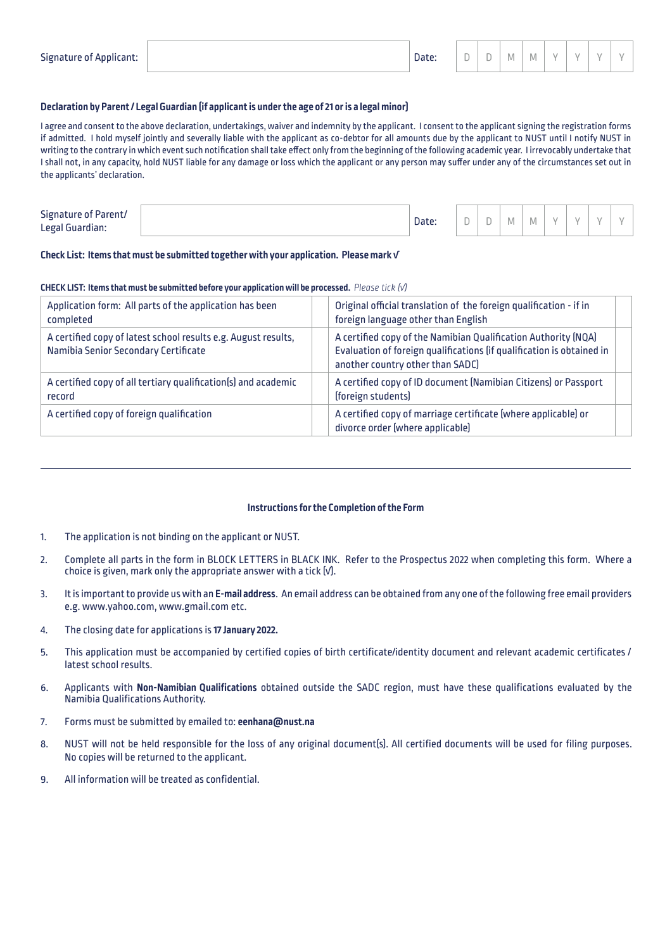| $\cdot$ .<br>Signatu<br>----<br>1.000<br>זוור<br>rant.<br>$\Delta \Pi$ | Date: | <b>STATE</b><br>$\overline{\phantom{a}}$ | M |  |  |  |
|------------------------------------------------------------------------|-------|------------------------------------------|---|--|--|--|
|                                                                        |       |                                          |   |  |  |  |

#### **Declaration by Parent / Legal Guardian (if applicant is under the age of 21 or is a legal minor)**

I agree and consent to the above declaration, undertakings, waiver and indemnity by the applicant. I consent to the applicant signing the registration forms if admitted. I hold myself jointly and severally liable with the applicant as co-debtor for all amounts due by the applicant to NUST until I notify NUST in writing to the contrary in which event such notification shall take effect only from the beginning of the following academic year. I irrevocably undertake that I shall not, in any capacity, hold NUST liable for any damage or loss which the applicant or any person may suffer under any of the circumstances set out in the applicants' declaration.

| $-1$<br>Parent/<br>Signature of<br>∟egal '<br>' Guardian: | Date: | $\sim$<br>◡ | -<br>ست | M | $\theta$ |  |
|-----------------------------------------------------------|-------|-------------|---------|---|----------|--|

#### **Check List: Items that must be submitted together with your application. Please mark √**

#### **CHECK LIST: Items that must be submitted before your application will be processed.** *Please tick (√)*

| Application form: All parts of the application has been                                                | Original official translation of the foreign qualification - if in                                                                                                          |
|--------------------------------------------------------------------------------------------------------|-----------------------------------------------------------------------------------------------------------------------------------------------------------------------------|
| completed                                                                                              | foreign language other than English                                                                                                                                         |
| A certified copy of latest school results e.g. August results,<br>Namibia Senior Secondary Certificate | A certified copy of the Namibian Qualification Authority (NQA)<br>Evaluation of foreign qualifications (if qualification is obtained in<br>another country other than SADC) |
| A certified copy of all tertiary qualification(s) and academic                                         | A certified copy of ID document (Namibian Citizens) or Passport                                                                                                             |
| record                                                                                                 | [foreign students]                                                                                                                                                          |
| A certified copy of foreign qualification                                                              | A certified copy of marriage certificate (where applicable) or<br>divorce order (where applicable)                                                                          |

#### **Instructions for the Completion of the Form**

- 1. The application is not binding on the applicant or NUST.
- 2. Complete all parts in the form in BLOCK LETTERS in BLACK INK. Refer to the Prospectus 2022 when completing this form. Where a choice is given, mark only the appropriate answer with a tick (√).
- 3. It is important to provide us with an **E-mail address**. An email address can be obtained from any one of the following free email providers e.g. www.yahoo.com, www.gmail.com etc.
- 4. The closing date for applications is **17 January 2022.**
- 5. This application must be accompanied by certified copies of birth certificate/identity document and relevant academic certificates / latest school results.
- 6. Applicants with **Non-Namibian Qualifications** obtained outside the SADC region, must have these qualifications evaluated by the Namibia Qualifications Authority.
- 7. Forms must be submitted by emailed to: **eenhana@nust.na**
- 8. NUST will not be held responsible for the loss of any original document(s). All certified documents will be used for filing purposes. No copies will be returned to the applicant.
- 9. All information will be treated as confidential.